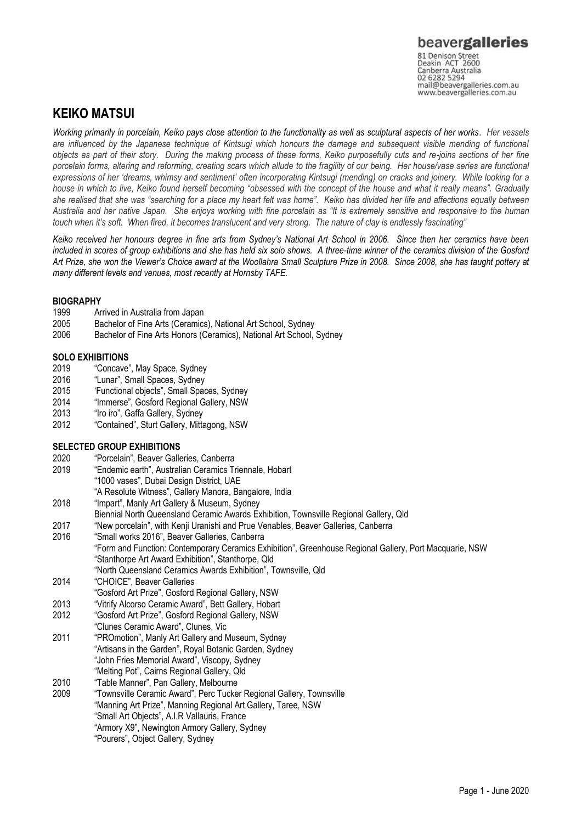Canberra Australia 02 6282 5294 mail@beavergalleries.com.au www.beavergalleries.com.au

## **KEIKO MATSUI**

*Working primarily in porcelain, Keiko pays close attention to the functionality as well as sculptural aspects of her works. Her vessels are influenced by the Japanese technique of Kintsugi which honours the damage and subsequent visible mending of functional objects as part of their story. During the making process of these forms, Keiko purposefully cuts and re-joins sections of her fine porcelain forms, altering and reforming, creating scars which allude to the fragility of our being. Her house/vase series are functional expressions of her 'dreams, whimsy and sentiment' often incorporating Kintsugi (mending) on cracks and joinery. While looking for a house in which to live, Keiko found herself becoming "obsessed with the concept of the house and what it really means". Gradually she realised that she was "searching for a place my heart felt was home". Keiko has divided her life and affections equally between Australia and her native Japan. She enjoys working with fine porcelain as "It is extremely sensitive and responsive to the human touch when it's soft. When fired, it becomes translucent and very strong. The nature of clay is endlessly fascinating"* 

*Keiko received her honours degree in fine arts from Sydney's National Art School in 2006. Since then her ceramics have been included in scores of group exhibitions and she has held six solo shows. A three-time winner of the ceramics division of the Gosford Art Prize, she won the Viewer's Choice award at the Woollahra Small Sculpture Prize in 2008. Since 2008, she has taught pottery at many different levels and venues, most recently at Hornsby TAFE.* 

### **BIOGRAPHY**

- 1999 Arrived in Australia from Japan
- 2005 Bachelor of Fine Arts (Ceramics), National Art School, Sydney
- 2006 Bachelor of Fine Arts Honors (Ceramics), National Art School, Sydney

# **SOLO EXHIBITIONS**<br>2019 "Concave

- 2019 "Concave", May Space, Sydney<br>2016 "Lunar". Small Spaces. Sydney
- 2016 "Lunar", Small Spaces, Sydney<br>2015 "Functional objects", Small Spac
- 'Functional objects", Small Spaces, Sydney
- 2014 "Immerse", Gosford Regional Gallery, NSW
- 2013 "Iro iro", Gaffa Gallery, Sydney
- 2012 "Contained", Sturt Gallery, Mittagong, NSW

### **SELECTED GROUP EXHIBITIONS**

- 2020 "Porcelain", Beaver Galleries, Canberra
- "Endemic earth", Australian Ceramics Triennale, Hobart "1000 vases", Dubai Design District, UAE
	- "A Resolute Witness", Gallery Manora, Bangalore, India
- 2018 "Impart", Manly Art Gallery & Museum, Sydney
- Biennial North Queensland Ceramic Awards Exhibition, Townsville Regional Gallery, Qld
- 2017 "New porcelain", with Kenji Uranishi and Prue Venables, Beaver Galleries, Canberra
- 2016 "Small works 2016", Beaver Galleries, Canberra "Form and Function: Contemporary Ceramics Exhibition", Greenhouse Regional Gallery, Port Macquarie, NSW "Stanthorpe Art Award Exhibition", Stanthorpe, Qld "North Queensland Ceramics Awards Exhibition", Townsville, Qld
- 2014 "CHOICE", Beaver Galleries "Gosford Art Prize", Gosford Regional Gallery, NSW
- 2013 "Vitrify Alcorso Ceramic Award", Bett Gallery, Hobart
- 2012 "Gosford Art Prize", Gosford Regional Gallery, NSW
- "Clunes Ceramic Award", Clunes, Vic
- 2011 "PROmotion", Manly Art Gallery and Museum, Sydney "Artisans in the Garden", Royal Botanic Garden, Sydney "John Fries Memorial Award", Viscopy, Sydney
- "Melting Pot", Cairns Regional Gallery, Qld
- 2010 "Table Manner", Pan Gallery, Melbourne
- 2009 "Townsville Ceramic Award", Perc Tucker Regional Gallery, Townsville "Manning Art Prize", Manning Regional Art Gallery, Taree, NSW "Small Art Objects", A.I.R Vallauris, France "Armory X9", Newington Armory Gallery, Sydney "Pourers", Object Gallery, Sydney